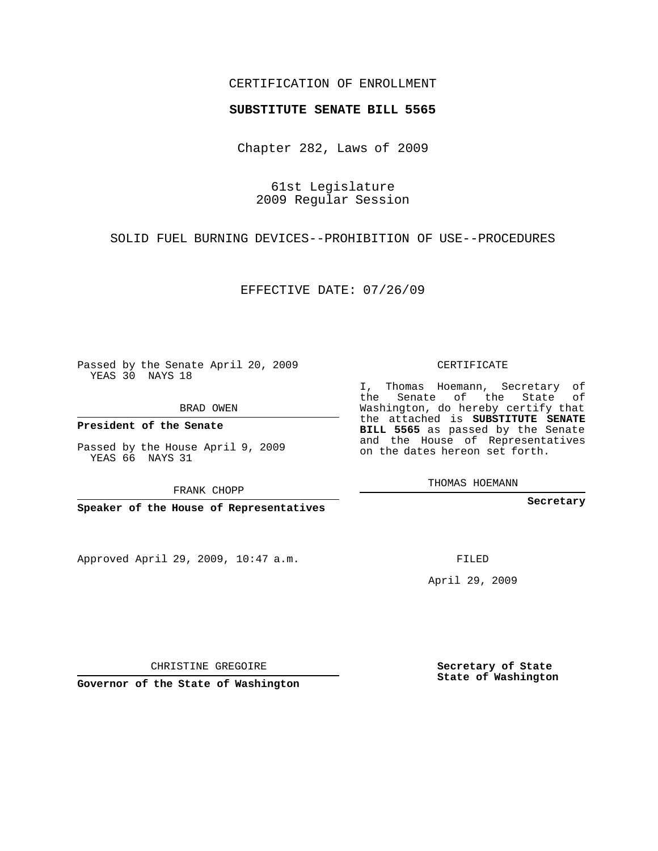## CERTIFICATION OF ENROLLMENT

## **SUBSTITUTE SENATE BILL 5565**

Chapter 282, Laws of 2009

61st Legislature 2009 Regular Session

SOLID FUEL BURNING DEVICES--PROHIBITION OF USE--PROCEDURES

EFFECTIVE DATE: 07/26/09

Passed by the Senate April 20, 2009 YEAS 30 NAYS 18

BRAD OWEN

**President of the Senate**

Passed by the House April 9, 2009 YEAS 66 NAYS 31

FRANK CHOPP

**Speaker of the House of Representatives**

Approved April 29, 2009, 10:47 a.m.

CERTIFICATE

I, Thomas Hoemann, Secretary of the Senate of the State of Washington, do hereby certify that the attached is **SUBSTITUTE SENATE BILL 5565** as passed by the Senate and the House of Representatives on the dates hereon set forth.

THOMAS HOEMANN

**Secretary**

FILED

April 29, 2009

**Secretary of State State of Washington**

CHRISTINE GREGOIRE

**Governor of the State of Washington**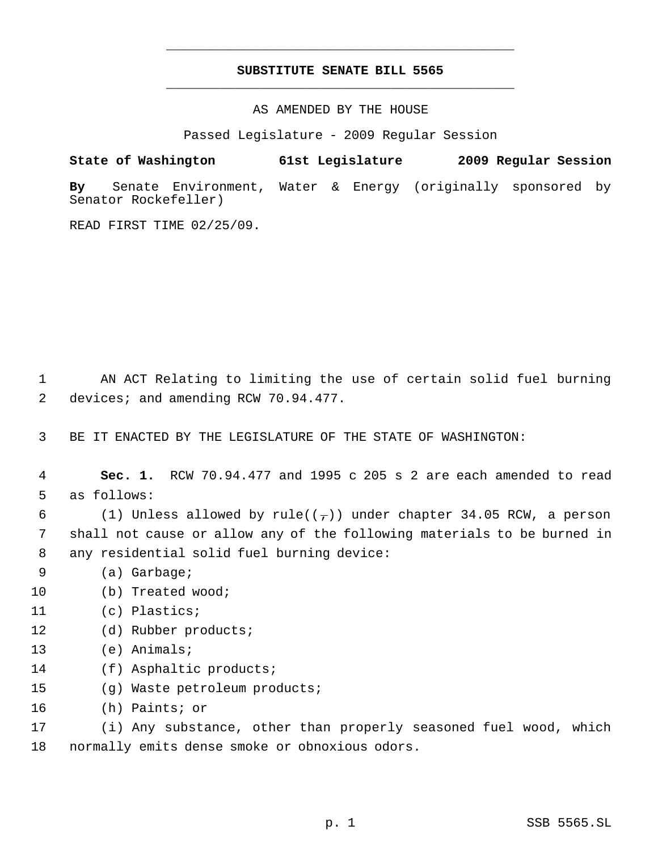## **SUBSTITUTE SENATE BILL 5565** \_\_\_\_\_\_\_\_\_\_\_\_\_\_\_\_\_\_\_\_\_\_\_\_\_\_\_\_\_\_\_\_\_\_\_\_\_\_\_\_\_\_\_\_\_

\_\_\_\_\_\_\_\_\_\_\_\_\_\_\_\_\_\_\_\_\_\_\_\_\_\_\_\_\_\_\_\_\_\_\_\_\_\_\_\_\_\_\_\_\_

AS AMENDED BY THE HOUSE

Passed Legislature - 2009 Regular Session

**State of Washington 61st Legislature 2009 Regular Session By** Senate Environment, Water & Energy (originally sponsored by Senator Rockefeller)

READ FIRST TIME 02/25/09.

 1 AN ACT Relating to limiting the use of certain solid fuel burning 2 devices; and amending RCW 70.94.477.

3 BE IT ENACTED BY THE LEGISLATURE OF THE STATE OF WASHINGTON:

 4 **Sec. 1.** RCW 70.94.477 and 1995 c 205 s 2 are each amended to read 5 as follows:

6 (1) Unless allowed by rule( $(\tau)$ ) under chapter 34.05 RCW, a person 7 shall not cause or allow any of the following materials to be burned in 8 any residential solid fuel burning device:

- 9 (a) Garbage;
- 10 (b) Treated wood;
- 11 (c) Plastics;
- 12 (d) Rubber products;
- 13 (e) Animals;
- 14 (f) Asphaltic products;
- 15 (g) Waste petroleum products;
- 16 (h) Paints; or

17 (i) Any substance, other than properly seasoned fuel wood, which 18 normally emits dense smoke or obnoxious odors.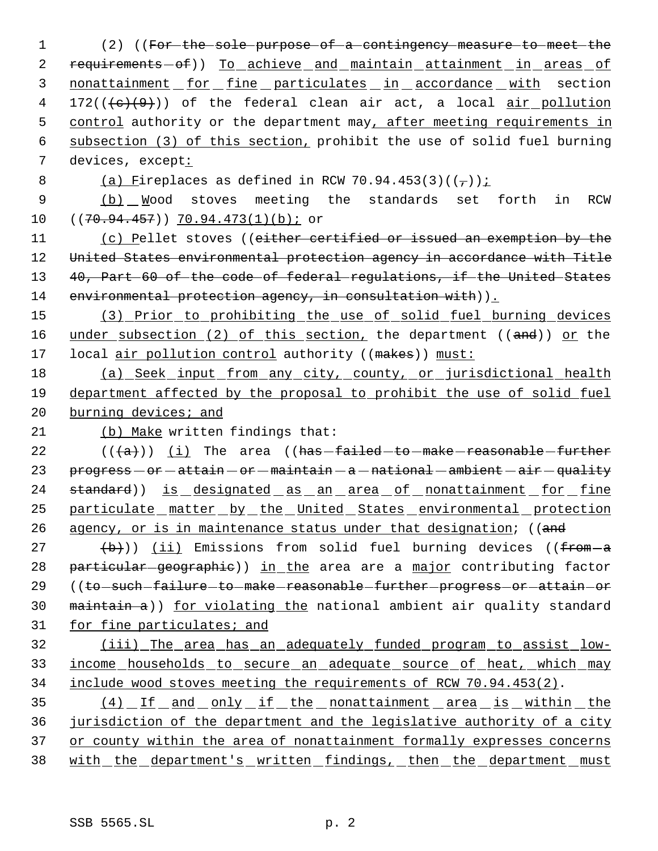1 (2) ((For the sole purpose of a contingency measure to meet the 2 requirements - of)) To achieve and maintain attainment in areas of 3 nonattainment for fine particulates in accordance with section 4 172(((+e)(9))) of the federal clean air act, a local air pollution 5 control authority or the department may, after meeting requirements in 6 subsection (3) of this section, prohibit the use of solid fuel burning 7 devices, except: 8 (a) Fireplaces as defined in RCW 70.94.453(3)( $(\frac{1}{7})$ ); 9 (b) Wood stoves meeting the standards set forth in RCW 10 ((70.94.457)) 70.94.473(1)(b); or 11 (c) Pellet stoves ((either certified or issued an exemption by the 12 United States environmental protection agency in accordance with Title 13 40, Part 60 of the code of federal regulations, if the United States 14 environmental protection agency, in consultation with)). 15 (3) Prior to prohibiting the use of solid fuel burning devices 16 under subsection (2) of this section, the department ((and)) or the 17 local air pollution control authority ((makes)) must: 18 (a) Seek input from any city, county, or jurisdictional health 19 department affected by the proposal to prohibit the use of solid fuel 20 burning devices; and 21 (b) Make written findings that: 22  $((a))$   $(i)$  The area ((has failed to make reasonable further 23  $program$   $\frac{1}{2}$   $\frac{1}{2}$   $\frac{1}{2}$   $\frac{1}{2}$   $\frac{1}{2}$   $\frac{1}{2}$   $\frac{1}{2}$   $\frac{1}{2}$   $\frac{1}{2}$   $\frac{1}{2}$   $\frac{1}{2}$   $\frac{1}{2}$   $\frac{1}{2}$   $\frac{1}{2}$   $\frac{1}{2}$   $\frac{1}{2}$   $\frac{1}{2}$   $\frac{1}{2}$   $\frac{1}{2}$   $\frac{1}{2}$   $\frac{1}{2}$   $\frac{$ 24 standard)) is designated as an area of nonattainment for fine 25 particulate matter by the United States environmental protection 26 agency, or is in maintenance status under that designation; (( $\alpha$ nd  $(27 + b)$ ) (ii) Emissions from solid fuel burning devices ((from -a 28 particular geographic)) in the area are a major contributing factor 29 ((to such failure to make reasonable further progress or attain or 30 maintain a)) for violating the national ambient air quality standard 31 for fine particulates; and 32 (iii) The area has an adequately funded program to assist low-33 income households to secure an adequate source of heat, which may 34 include wood stoves meeting the requirements of RCW 70.94.453(2). 35 (4) If and only if the nonattainment area is within the 36 jurisdiction of the department and the legislative authority of a city 37 or county within the area of nonattainment formally expresses concerns 38 with the department's written findings, then the department must